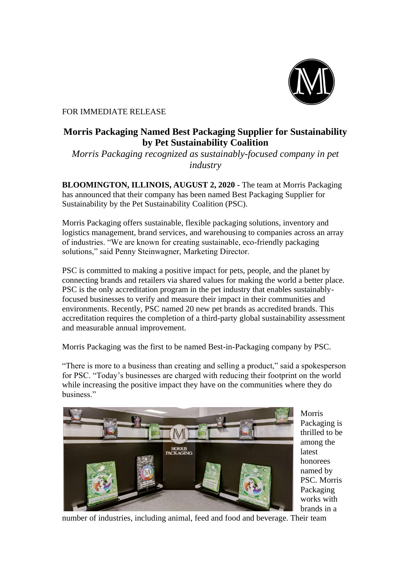

## FOR IMMEDIATE RELEASE

## **Morris Packaging Named Best Packaging Supplier for Sustainability by Pet Sustainability Coalition**

*Morris Packaging recognized as sustainably-focused company in pet industry*

**BLOOMINGTON, ILLINOIS, AUGUST 2, 2020 -** The team at Morris Packaging has announced that their company has been named Best Packaging Supplier for Sustainability by the Pet Sustainability Coalition (PSC).

Morris Packaging offers sustainable, flexible packaging solutions, inventory and logistics management, brand services, and warehousing to companies across an array of industries. "We are known for creating sustainable, eco-friendly packaging solutions," said Penny Steinwagner, Marketing Director.

PSC is committed to making a positive impact for pets, people, and the planet by connecting brands and retailers via shared values for making the world a better place. PSC is the only accreditation program in the pet industry that enables sustainablyfocused businesses to verify and measure their impact in their communities and environments. Recently, PSC named 20 new pet brands as accredited brands. This accreditation requires the completion of a third-party global sustainability assessment and measurable annual improvement.

Morris Packaging was the first to be named Best-in-Packaging company by PSC.

"There is more to a business than creating and selling a product," said a spokesperson for PSC. "Today's businesses are charged with reducing their footprint on the world while increasing the positive impact they have on the communities where they do business."



Morris Packaging is thrilled to be among the latest honorees named by PSC. Morris Packaging works with brands in a

number of industries, including animal, feed and food and beverage. Their team